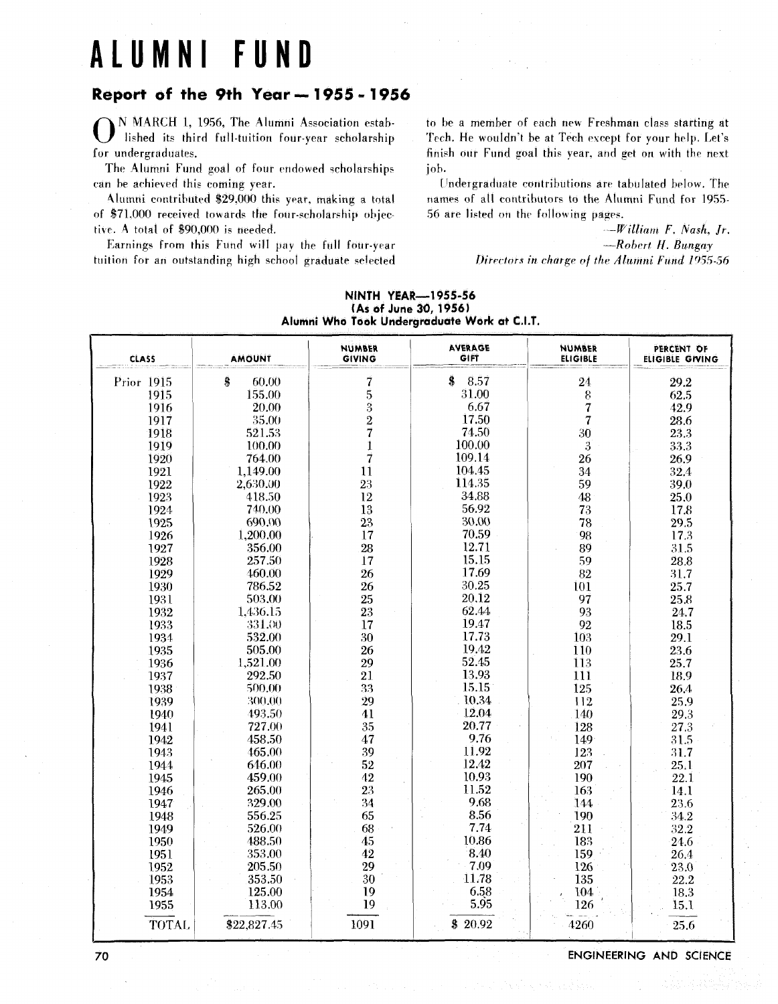# **ALUMNI FUND**

## **Report of the 9th Year** - **1955** - **<sup>1956</sup>**

0 N MARCH I, 1956, The Alumni Association established its third full-tuition four-year scholarship for undergraduates.

The Alumni Fund goal of four endowed scholarships can be achieved this coming year.

Alumni contributed \$29.000 this year. making **a** total of \$71,000 received towards the four-scholarship objective. **A** total of \$90,000 is needed.

Earnings from this Fund will pay the full four-year tuition for an outstanding high school graduate selected to be a member of each new Freshman class starting at 'Fech. He wouldn't be at Tech exrept for your help. Let's finish our Fund goal this year. and get on with the nexi joh.

Undergraduate contributions are tabulated below. The names of all contributors to the Alumni Fund for 1955-56 are listed on the following pages.

> *-William* **F.** *!\'ash. Jr. -Robert H. Bungay Oirrctnrs in* **rhnrg~** *of the* **Alumni** *Fund 1^35-56*

| <b>CLASS</b> | <b>AMOUNT</b> | <b>NUMBER</b><br><b>GIVING</b> | <b>AVERAGE</b><br><b>GIFT</b> | <b>NUMBER</b><br><b>ELIGIBLE</b> | PERCENT OF<br>ELIGIBLE GIVING |
|--------------|---------------|--------------------------------|-------------------------------|----------------------------------|-------------------------------|
| Prior 1915   | \$<br>60.00   | 7                              | \$<br>8.57                    | 24                               | 29.2                          |
| 1915         | 155.00        | 5                              | 31.00                         | 8                                | 62.5                          |
| 1916         | 20.00         | $\boldsymbol{3}$               | 6.67                          | $\overline{7}$                   | 42.9                          |
| 1917         | 35.00         | $\overline{2}$                 | 17.50                         | $\overline{7}$                   | 28.6                          |
| 1918         | 521.53        | 7                              | 74.50                         | 30                               | 23.3                          |
| 1919         | 100.00        | 1                              | 100.00                        | $\overline{3}$                   | 33.3                          |
| 1920         | 764.00        | 7                              | 109.14                        | 26                               | 26.9                          |
| 1921         | 1,149.00      | 11                             | 104.45                        | 34                               | 32.4                          |
| 1922         | 2,630.00      | 23                             | 114.35                        | 59                               | 39.0                          |
| 1923         | 418.50        | 12                             | 34.88                         | 48                               | 25.0                          |
| 1924         | 740.00        | 13                             | 56.92                         | 73                               | 17.8                          |
| 1925         | 690.00        | 23                             | 30.00                         | 78                               | 29.5                          |
| 1926         | 1,200.00      | 17                             | 70.59                         | 98                               | 17.3                          |
| 1927         | 356.00        | 28                             | 12.71                         | 89                               | 31.5                          |
| 1928         | 257.50        | 17                             | 15.15                         | 59                               | 28.8                          |
| 1929         | 460.00        | 26                             | 17.69                         | 82                               | 31.7                          |
| 1930         | 786.52        | 26                             | 30.25                         | 101                              | 25.7                          |
| 1931         | 503.00        | 25                             | 20.12                         | 97                               | 25.8                          |
| 1932         | 1,436.15      | 23                             | 62.44                         | 93                               | 24.7                          |
| 1933         | 331.00        | 17                             | 19.47                         | 92                               | 18.5                          |
| 1934         | 532.00        | 30                             | 17.73                         | 103                              | 29.1                          |
| 1935         | 505.00        | 26                             | 19.42                         | 110                              | 23.6                          |
| 1936         | 1,521.00      | 29                             | 52.45                         | 113                              | 25.7                          |
| 1937         | 292.50        | 21                             | 13.93                         | 111                              | 18.9                          |
| 1938         | 500.00        | 33                             | 15.15                         | 125                              | 26.4                          |
| 1939         | 300.00        | 29                             | 10.34                         | 112                              | 25.9                          |
| 1940         | 493.50        | 41                             | 12.04                         | 140                              | 29.3                          |
| 1941         | 727.00        | 35                             | 20.77                         | 128                              | 27.3                          |
| 1942         | 458.50        | 47                             | 9.76                          | 149                              | 31.5                          |
| 1943         | 465.00        | 39                             | 11.92                         | 123                              | 31.7                          |
| 1944         | 646.00        | 52                             | 12.42                         | 207                              | 25.1                          |
| 1945         | 459.00        | 42                             | 10.93                         | 190                              | 22.1                          |
| 1946         | 265.00        | 23                             | 11.52                         | 163                              | 14.1                          |
| 1947         | 329.00        | 34                             | 9.68                          | 144                              | 23.6                          |
| 1948         | 556.25        | 65                             | 8.56                          | 190                              | 34.2                          |
| 1949         | 526.00        | 68                             | 7.74                          | 211                              | 32.2                          |
| 1950         | 488.50        | 45                             | 10.86                         | 183                              | 24.6                          |
| 1951         | 353.00        | 42                             | 8.40                          | 159                              | 26,4                          |
| 1952         | 205.50        | 29                             | 7.09                          | 126                              | 23.0                          |
| 1953         | 353.50        | 30                             | 11.78                         | 135                              | 22.2                          |
| 1954         | 125.00        | 19                             | 6.58                          | 104                              | 18.3                          |
| 1955         | 113.00        | 19                             | 5.95                          | 126                              | 15.1                          |
| TOTAL        | \$22,827.45   | 1091                           | \$20.92                       | 4260                             | 25.6                          |

#### NINTH YEAR-1 **955-56 (As of** June **30,1956)**  Alumni Who Took Undergraduate Work **at C.I.T.**

**ENGINEERING AND SCIENCE** 

70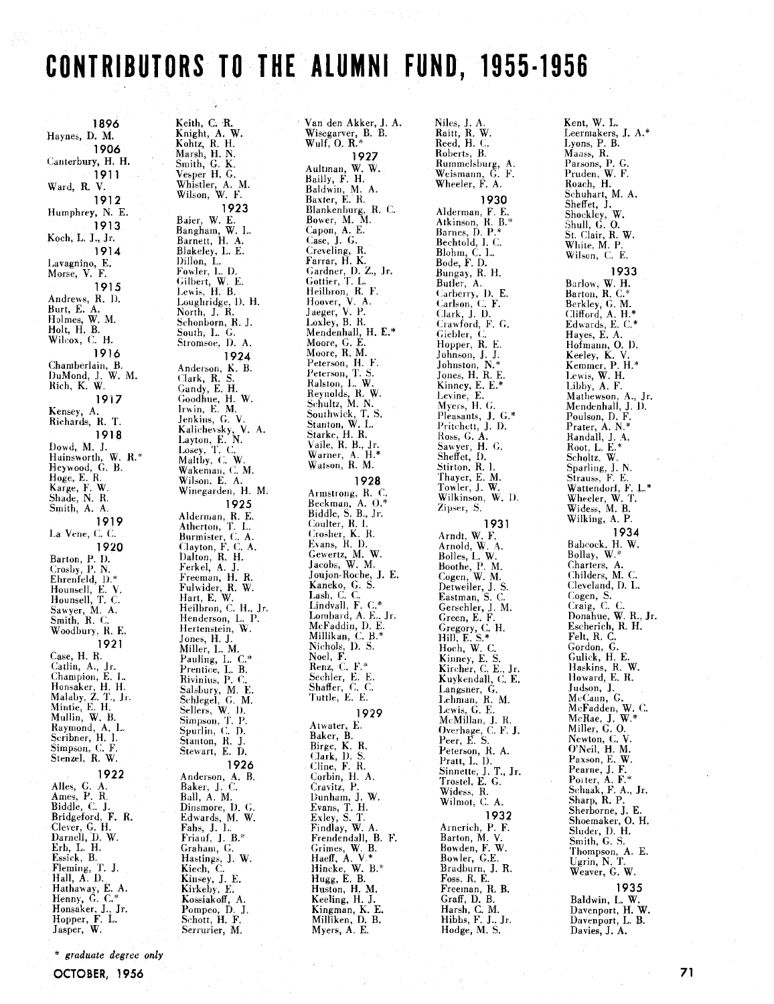# CONTRIBUTORS TO THE ALUMNI FUND, 1955-1956

Van den Akker, J. A.

1896 Haynes, D. M. 1906 Canterbury, H. H. 1911 Ward, R. V. 1912 Humphrey, N. E. 1913 Koch, L. J., Jr. 1914 Lavagnino, E.<br>Morse, V. F. 1915 Andrews, R. D.<br>Burt, E. A.<br>Holmes, W. M.<br>Holt, H. B.<br>Wilcox, C. H. 1916 Chamberlain, B.<br>DuMond, J. W. M.<br>Rich, K. W. 1917 Kensey, A. Richards, R. T. 1918 Priories<br>
Hainsworth, W. R.\*<br>
Heywood, G. B.<br>
Hoge, E. R.<br>
Karge, F. W.<br>
Shade, N. R.<br>
Shith, A. Smith, A. A. 1919 La Vene, C. C. 1920 Barton, P. D. Crosby, P. N.<br>Crosby, P. N.<br>Ehrenfeld, D.\*<br>Hounsell, T. C.<br>Mounsell, T. C. Sawyer, M. A.<br>Smith, R. C.<br>Woodbury, R. E. 1921 Case, H. R. Case, H. R.<br>Catlin, A., Jr.<br>Champion, E. L.<br>Honsaker, H. H.<br>Malaby, Z. T., Jr.<br>Mintie, E. H.<br>Mullin, W. B.<br>Raymond, A. L.<br>Scribner, H. I.<br>Simpson, C. F.<br>Stenzel, R. V. 1922 Alles, G. A.<br>Ames, P. R. Ames, P. R.<br>Biddle, C. J.<br>Bridgeford, F. R.<br>Clever, G. H.<br>Darnell, D. W.<br>Erb, L. H.<br>Essick, B.<br>Hannel, T. J.<br>Hall, A. D.<br>Hathaway, E. A.<br>Henny, G. C.\*<br>Honsaker, J., Jr.<br>Hopper, F. L.<br>Hopper, F. L.<br>Jasper, W.

Keith, C. R.<br>Knight, A. W.<br>Kohtz, R. H.<br>Marsh, H. N.<br>Smith, G. K. Vesper H. G.<br>Whistler, A. M.<br>Wilson, W. F. 1923 Baier, W. E.<br>Bangham, W. L.<br>Barnett, H. A. Barnett, H. A.<br>Blakeley, L. E.<br>Dillon, L.<br>Fowler, L. D.<br>Gilbert, W. E.<br>Lewis, H. B. Lewis, H. B.<br>Loughridge, D. H.<br>North, J. R.<br>Schonborn, R. J.<br>Suuth, L. G.<br>Stromsoe, D. A. 1924 Anderson, K. B. Clark, R. S Clark, R. S.<br>Coodhue, H. W.<br>Irwin, E. M.<br>Irwin, E. M.<br>Jenkins, G. V.<br>Xalichevsky, V. A.<br>Layton, E. N.<br>Layton, C. W.<br>Wakeman, C. M.<br>Wilson, E. A.<br>Wilson, E. A.<br>Wilson, E. A.<br>Wilson, E. A. 1925 1925<br>
Alderman, R. E.<br>
Atherton, T. L.<br>
Burmister, C. A.<br>
Clayton, F. C. A.<br>
Dalton, R. H.<br>
Ferkel, A. J.<br>
Freeman, H. R.<br>
Hart, E. W.<br>
Hart, E. W.<br>
Hart, E. W.<br>
Hart, E. W.<br>
Heilbron, C. H., Jr.<br>
Heilbron, C. H., Jr.<br>
Hen Henderson, L. P. Hertenstein, W. Jones, H. J.<br>Miller, L. M. Miller, L. M.<br>Pauling, L. C.\*<br>Prentice, L. B.<br>Rivinius, P. C.<br>Salsbury, M. E.<br>Schlegel, G. M.<br>Simpson, T. P.<br>Spurlin, C. D.<br>Stanton, R. J.<br>Stanton, R. J.<br>Stanton, R. J.<br>Stanton, R. J. 1926 Anderson, A. B. Baker, J. C.<br>Ball, A. M. Ball, A. M.<br>Dinsmore, D. G.<br>Edwards, M. W.<br>Erhs, J. L.<br>Friauf, J. B.\*<br>Graham, G.<br>Kiastings, J. W.<br>Kiech, C.<br>Kinsey, J. E.<br>Kirkehy, E.<br>Kossiakoff, A.<br>Pompeo, D. J.<br>Schott, H. F. Serrurier, M.

Wisegarver, B. B.<br>Wulf, O. R.\* 1927 Aultman, W. W.<br>Bailly, F. H. Baldwin, M. A.<br>Baxter, E. R. Blankenburg, R. C.<br>Bower, M. M. Capon, A. E.<br>Case, J. G.<br>Creveling, R.<br>Farrar, H. K. Farrar, H. K.<br>Gardner, D. Z., Jr.<br>Heilbron, R. F.<br>Heilbron, R. F.<br>Jaeger, V. P.<br>Loxley, B. R.<br>Mendenhall, H. E.\*<br>Moore, G. E.<br>Moore, G. E.<br>Moore, R. M.<br>Peterson. H. Moore, R. M.<br>Peterson, H. F.<br>Peterson, T. S.<br>Ralston, L. W.<br>Reynolds, R. W.<br>Schultz, M. N. .<br>Schultz, M. N. .<br>Starke, H. R.<br>Naile, R. B., Jr.<br>Warner, A. H. Warner, A. H. \*<br>Watson, R. M. 1928 Armstrong, R. C.<br>Beckman, A. O.\*<br>Biddle, S. B., Jr.<br>Coulter Biddle, S. B., Jr.<br>Cosher, K. I.<br>Crosher, K. R.<br>Evans, R. D.<br>Gewertz, M. W.<br>Jacobs, W. M.<br>Jacobs, W. M.<br>Jacobs, C. S.<br>Lanko, G. S.<br>Lindvall, F. C.\*<br>Lombard, A. E. Jr.<br>Lombard, A. E. Jr.<br>Lombard, A. E. Jr. McFaddin, D. E. Millikan, C. B.\*<br>Nichols, D. S.<br>Neel, F.<br>Renz, C. F.\* Sechler, E. E.<br>Shaffer, C. C.<br>Tuttle, E. E. 1929 Atwater, E.<br>Baker, B.<br>Birge, K. R.<br>Clark, D. S. Cline, F. R.<br>Corbin, H. A. Corbin, H. A.<br>Cravitz, P.<br>Dunham, J. W.<br>Evans, T. H.<br>Exley, S. T.<br>Findlay, W. A.<br>Frendendall, B. F.<br>Grimes, W. B.<br>Haeff, A. V.\*<br>Hincke, W. B.\*<br>Hugg, E. B.<br>Huston, H. M.<br>Meeling, H. J.<br>Keeling, H. J.<br>Keeling, H. J. Kingman, K. E. Milliken, D. B. Myers, A. E.

Niles, J. A.<br>Raitt, R. W.<br>Reed, H. C. Roberts, B. Rummelsburg, A.<br>Weismann, G. F.<br>Wheeler, F. A. 1930 Alderman, F. E.<br>Atkinson, R. B.\*<br>Barnes, D. P.\*<br>Bechtol, I. C. Blohm, C. L.<br>Bode, F. D.<br>Bungay, R. H. Butler, A.<br>Carberry, D. E. Carlson, C. F.<br>Clark, J. D.<br>Crawford, F. G. Giebler, C.<br>Hopper, R. E. Johnson, J. J. Johnson, N.\*<br>Jones, H. R. E.<br>Kinney, E. E.\*<br>Levine, E.<br>Myers, H. G. Pleasants, J. G.\*<br>Pritchett, J. D. Frienci, J. D.<br>Ross, G. A.<br>Sawyer, H. G.<br>Sheffet, D.<br>Stirton, R. I. Thayer, E. M.<br>Towler, J. W. Wilkinson, W. D.<br>Zipser, S. 1931 1931<br>
1931<br>
Arnold, W. A.<br>
Bolles, L. W.<br>
Boothe, P. M.<br>
Cogen, W. M.<br>
Cogen, W. M.<br>
Cerschler, J. S.<br>
Cerschler, J. M.<br>
Creen, E. F.<br>
Green, E. F.<br>
Hill, E. S.\*<br>
Hoch, W. C.<br>
Kinney, E. S.<br>
Kincher, C. E., Jr.<br>
Kincher, C Langsner, G.<br>Lehman, R. M.<br>Lewis, G. E.<br>McMillan, J. R. Overhage, C. F. J.<br>Peer, E. S. *i* eti, *p.* 3.<br>Peterson, R. A.<br>Pratt, L. D.<br>Sinnette, J. T., Jr.<br>Trostel, E. G. Widess, R.<br>Wilmot, C. A. 1932 Arnerich, P. F. Americii, F. F.<br>Barton, M. V.<br>Bowler, G.E.<br>Bradburn, J. R. Fragman, J. R.<br>Foss, R. E.<br>Freeman, R. B.<br>Graff, D. B.<br>Harsh, C. M.<br>Hibbs, F. J., Jr. Hodge, M. S.

Kent, W. L. Leermakers, J. A.\* Lyons, P. B. Maass, R. Parsons, P. G.<br>Pruden, W. F.<br>Roach, H. Schuhart, M. A.<br>Sheffet, J. Sheret, J.<br>Shockley, W.<br>Shull, G. O.<br>St. Clair, R. W.<br>White, M. P. Wilson, C. E. 1933 Barlow, W. H.<br>Barton, R. C.\* Berkley, G. M.<br>Clifford, A. H.\*<br>Edwards, E. C.\* Hayes, E. A.<br>Hofmann, O. D.<br>Keeley, K. V.<br>Kemmer, P. H.\*<br>Lewis, W. H.<br>Libby, A. F.<br>Mathewson, A., Jr.<br>Mendenhall, J. D.<br>Poulson, D. F.<br>Prater, A. N.\*<br>Randall, J. A.<br>Root, L. E.\*<br>Scholtz, W.<br>Sparling, J. N.\* Hayes, E. A. Sparling, J. N.<br>Strauss, F. E.<br>Wattendorf, F. L.\* Wheeler, W. T.<br>Widess, M. B. Wilking, A. P. 1934 Bahcock, H. W.<br>Bollay, W.\* Charters, A.<br>Childers, M. C. Cleveland, D. L. Cleveland, D. L.<br>Cogen, S.<br>Craig, C. C.<br>Donahue, W. R., Jr.<br>Escherich, R. H. Escherich, K. H.<br>Felt, R. C.<br>Gordon, G.<br>Gulick, H. E.<br>Haskins, R. W.<br>Howard, E. R.<br>Judson, J.<br>Aufrann, C. Judson, J.<br>McCann, G.<br>McFadden, W. C.<br>McRae, J. W.\*<br>Miller, G. O. Newton, C.V.<br>O'Neil, H. M. Diven, H. M.<br>Paxson, E. W.<br>Pearne, J. F.<br>Poiter, A. F.\*<br>Schaak, F. A., Jr.<br>Sherborne, J. E.<br>Sherborne, J. E. Shoemaker, O. H.<br>Shoemaker, O. H.<br>Smith, G. S. Thompson, A. E.<br>Ugrin, N. T. Weaver, G. W. 1935 Baldwin, L. W.<br>Davenport, H. W.

Davenport, L. B.

Davies, J. A.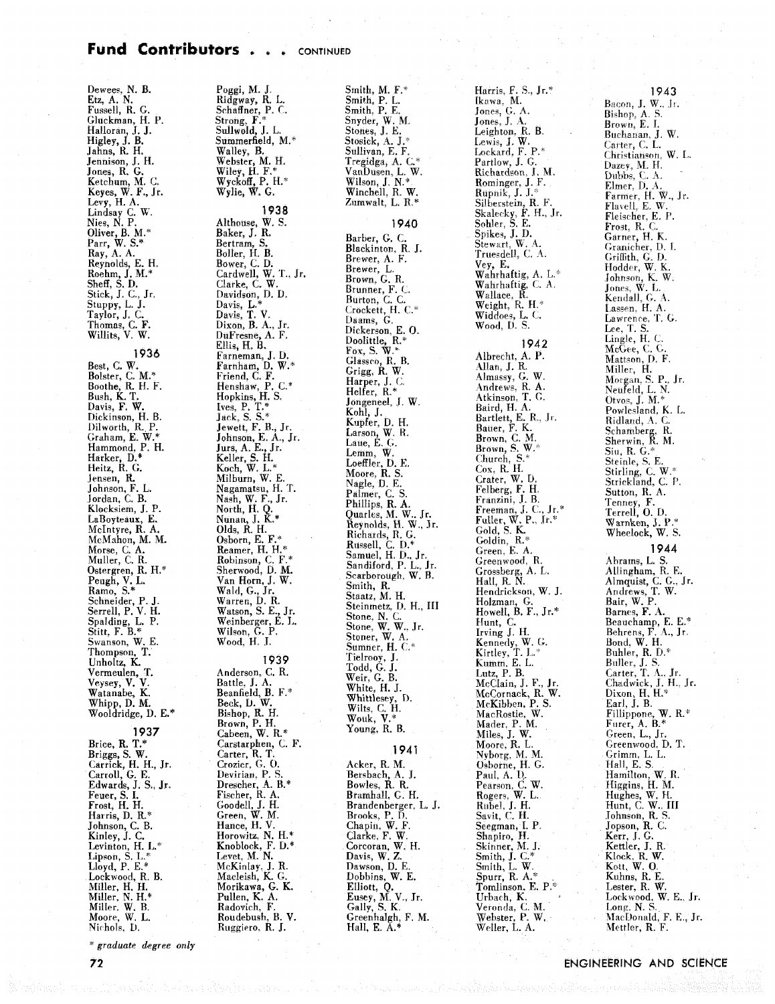#### Fund Contributors . . . **CONTINUED**

Dewees, **N. B.**  Etz, A. N. Fussell, R. G. Gluckman, H. P.<br>Halloran, J. J. Higley, J. B.<br>Jahns, R. H. Jahns. R. H. Jennison, J. H. Jones, R. *G.*  Ketchum, M. **C.**  Keyes, W. F., Jr. Levy, H. A. Lindsav C. **W.**  Nies, N. P. Oliver, B. M.' Parr, W. S.\*<br>Ray, A. A.<br>Reynolds, E. H.<br>Roehm, J. M.\*<br>Sheff, S. D.<br>Stick, J. C., Jr. Stuppy, L. J. Taylor, J. C. Thomas, C. F. Willits, V. W.

1936 Best, C. W.<br>Bolster, C. M.\*<br>Boothe<u>,</u> R. H. F. Davis, F. W.<br>Dickinson, H. B.<br>Dilworth, R. P.<br>Graham, E. W.\*<br>Harker, D.\*<br>Harker, D.\*<br>Heitz, R. G. Jensen, R.<br>Johnson, F. L. Jordan, *k.* B. Klocksiem, J. P. LaBoyteaux, **E.**  Mclntyre, R. A. McMahon, M. M. Morse, C. **A.**  Mailer, C. R. Ostergren, R. H.\* Ramo, S.\* Schneider, P. J. Serrell. P. **V.** H. Spalding, L. P. Stitt. F. B." Swanson, W. E. Thompson, **T.**  Unholtz. K. Vermeulen, T. Veysey, V. V. Watanabe, K. Whipp, D. M.<br>Wooldridge, D. E.\* **1937**  Brice, **R.** T.\*

Briggs, S. W. Carrick, H. H., Jr. Carroll, G. E. Edwards, J. S., Jr. Feuer, S. I. Frost, H. H. Harris, D. **R.\***  Johnson, C. B. Kinley, J. C. Levinton, H. L.\*<br>Lipson, S. L.\*<br>Lloyd, P. E.\*<br>Lockwood, R. B.<br>Miller, H. H.<br>Miller, N. H.\* Miller. W. B. Moore, W. L. Nichols, D.

**graduate** *degree only* 

Poggi, M. J. Ridgway, R. L. Schaffner. P. C. Strong, **F.'**  Sdlwold, J. L. Summerfield, M.^ Walley, B. Webster. M. H. Wiley, **d. F.\***  Wyckoff, P. H." Wylie, **W.** *G.*  1938 Althouse, W. S. Baker, **J.** R. Bertram, S. Boiler, H. B. Bower, C. D. Cardwell, W. T., Jr. Clarke, **C.** W. Davidson. D. D. Davis, **L.'**  Davis, **T. V.**  Dixon, B. A., Jr.<br>DuFresne, A. F.<br>Ellis, H. B.<br>Farnham, J. D.<br>Farnham, J. D.<br>Farnham, J. W.\*<br>Friend, C. F.<br>Hopkins, H. S.<br>Joek, S. S.\*<br>Jewett, F. B., Jr.<br>Johnson, E. A., Jr.<br>Johnson, E. A., Jr.<br>Jurs, A. E., Jr. Keller, S. H. Koch, W. L.\*<br>Milburn, W. E. Nagamatsu, H. T.<br>Nash, W. F., Jr.<br>North, H. Q.<br>Nunan, J. K.\* Olds, R. H. Osborn, E. F.\* Reamer, H. **H."**  Robinson, C. F.\* Sherwood, D. M. Van Horn, J. W. Wald, G., Jr. Warren, D. R. Watson, S. E., Jr. Weinbereer. E. **L.**  Wilson, *G.* **P.**  Wood. H. .I. 1939 Anderson. C. R. Battle. **J.** A. Beanfield, B. F." Beck. D. **W.**  Bishop, R. H. Brown, P. H. Cabeen, W. R.\* Carstarphen, C. **F.**  Carter. R. T. Garcier, G. O.<br>Devirian, P. S.<br>Drescher, A. B.\*<br>Fischer, R. A.<br>Goodell, J. H.<br>Green, W. M. Hance, H. V. Horowitz, N. H.\* Knoblock, F. D.\*<br>Levet, M. N.<br>McKinlay, J. R.<br>Macleish, K. G.<br>Morikawa, G. K. Pullen, K. A. Radovich, F. Roudehush, B. V. Rnggiero. R. J.

Smith, **M.** F.' Smith, P. L. Smith. P. E. Snyder, W. **M.**  Stones, J. **E.**  Stosick, A. J.' Sullivan, E. F. Tregidga, A. C.\*<br>VanDusen, L. W. Wilson, J **N.'**  Winchell, R. W. Zumwalt. L. R.\* **1940** 

Barber, *G.* C. Blackinton, R. **J.**  Brewer, A. F. Brewer, L. Brunner, F. C.<br>Brunner, F. C.<br>Crockett, H. C.\*<br>Daams, G. .<br>Dickerson, E. 0.<br>Doolittle, R.\*<br>Fox, S. W.\*<br>Glassco, R. B. Grigg. R. W. Harper, J. **C**  Heifer, R.\* Jongeneel, J. W.<br>Kohl, J.<br>Kupfer, D. H.<br>Larson, W. R.<br>Laue, E. <u>G</u>. Lemm, W. Loeffler, D. E. Moore. R. S. Reynolds. H. W.. **Sr.**  ~ichards, R. G. Russell, C. D.\*<br>Samuel, H. D., Jr.<br>Sandiford, P. L., Jr.<br>Scarborough, W. B. Smith, R.- Staatz, M. H. Steinrnetz, **I).** H., I11 Stone. N. C. Stone, W. W., Jr.<br>Stoner, W. A*.*<br>Sumner, H. C.\* Tielrooy, J.<br>Todd, G. J.<br>Weir, G. B.<br>Whittlesey, D.<br>Wilts, C. H.<br>Wouk, V.\* Young, R. B. 1941

Acker, R. M.<br>Bersbach, A. J.<br>Bowles, R. R. Bramhall, G. H. Brandenberger. L. J. Brooks, P. D.<br>Chapin, W. F.<br>Clarke, F. W.<br>Corcoran, W. H.<br>Davis, W. Z. Dawson, D. E. Dobbins, W. **E.**  Elliott, Q. Eusey, M. V., Jr. Gaily, **S.** K. Greenhaigh, F. **M.**  Hall, **E.** A.\*

Harris. F. S., Jr.' Ikawa. M. Jones, G. A. Jones. J. **4.**  Leighton, R. B. Lewis, J. W.<br>Lewis, J. W.<br>Lockard, F. P.\* Rominger, J. F.<br>Rupnik, J. J<u>.</u>\* Silberstein, R. F.<br>Skalecky, F. H., Jr. Sohler, S. E.<br>Spikes, J. D.<br>Stewart, W. A.<br>Trues<u>d</u>ell, C. A. Wahrhaftig, C. A.<br>Wallace, R.<br>Weight, R. H.\*<br>Widdoes, L. C.<br>Wood, D. S. 1942 Albrecht, A. P. Allan, J. **R..**  Almassy, G. W. Andrew. R. A. Atkinson. T. *0.*  Baird, H. A. Bartlett, E. R.. **I1.**  Bauer, F. K. Brown. C. M. Brown, S. **W.'**  Church. S." Cox. R. **11.**  Crater, **W.** D. Felberg, F. H.<br>Franzini, J. B. Franzini, **J.** B. Freeman. J. **C..** Jr.' Fuller, W. P.. **St.\***  Gold, S. K. Goldin, R." Green. E. A. Greenwood, R.<br>Grossberg, A. L.<br>Hall, R. N.<br>Hendrickson, W. J. Holzman, G. Howell, B. F., Jr.\* Hunt, **C.**  Irving J. H. Kennedy, W. G.<br>Kirtley, T. L.\*<br>Kumm, E. L.<br>Lutz, P. B. McClain, **J.** F., Jr. McCornack, R. W. MrKihben. P. S. MacRostie, W.<br>Mader, P. M.<br>Miles, J. W. Moore, R. L.<br>Nyborg, M. M.<br>Osborne, H. G. Paul. A. **1).**  Pearsori. **C.** W. Rogers, W. L.<br>Riibel, J. H. Savit, C. H. Seegman, I. P.<br>Shapiro, H.<br>Skinner, M. J.<br>Smith, J. C. W.<br>Spurr, R. A.\*<br>Tomlinson. E. P.\* Urbach, K. Veronda, C. M. Webster, P. **W,**  Weller, L. **A.** 

Bishop, **A** S. Brown, E. I. Buchanan, J. W. Carter, C. L. Christianson, W. L. **Dazey.** M. H. Dubbs, C. A. Unristianson, W. L.<br>Dazey, M. H.<br>Dubbs, C. A.<br>Elmer, D. A.<br>Farmer, H. W., Jr. Flaiell, E. **W.**  Fleischer, E. P.<br>Frost, R. C.<br>Garner, H. K. Granichcr. D. 1. Griffith, **G. 1).**  Hoddcr, W. K. Fohncon, K. W Jones, **W.** L. Kendall, **G. 1.**  Lassen, H. A. Lawrence. **'T.** G Lingle, H. C.<br>McGee, C. G.<br>Mattson, D. F. Miller, H.<br>Morgan, S. P., Jr.<br>Neufeld, L. N. Ridland, **1. C.**  Schamberg. R. Sherwin, R. **M.**  Sin, R. *G.'*  Steinle, S. **E.**  Stirling, **L.** W.' Strickland, C. P. Sutton, R. **A.**  Feriney, **F.**  Terrell, 0. D. W arnken, L P ." Wheelock, W. S.

**1943** 

Bacon, J. W., Jr.

#### 1944

Abrarns, **L.** S. Allingham, R. E. Almquist, **C.** G.. Jr. Andrews, T. W. Bair, W. P. Barncs, F. A. Beauchamp, E. E.\*<br>Behrens, F. A., Jr.<br>Bond, W. H.<br>Buhler, R. D.\*<br>Buller, J. S.<br>Carter, T. A., Jr. Chadwick, J. H.. Jr. Dixon, H. H.\*<br>Earl, J. B. Fillippone, W. R.\* Furer, A. B.\*<br>Green, L., Jr.<br>Greenwood, D. T. Grimm, L. L. Hall, E. S. Hamilton, W. R.<br>Higgins, H. M.<br>Hughes, W. H.<br>Johnson, R. S.<br>Johnson, R. C.<br>Jopson, R. C.<br>Kerr, J. G. Kettler, J. R. Klock. R. W. Kott, W. 0 Kuhns, R. E. Lester, R. W. Lockwood, W. E., Jr.<br>Long, N. S. MacDonald, F. E., Jr. Mettler, R. F.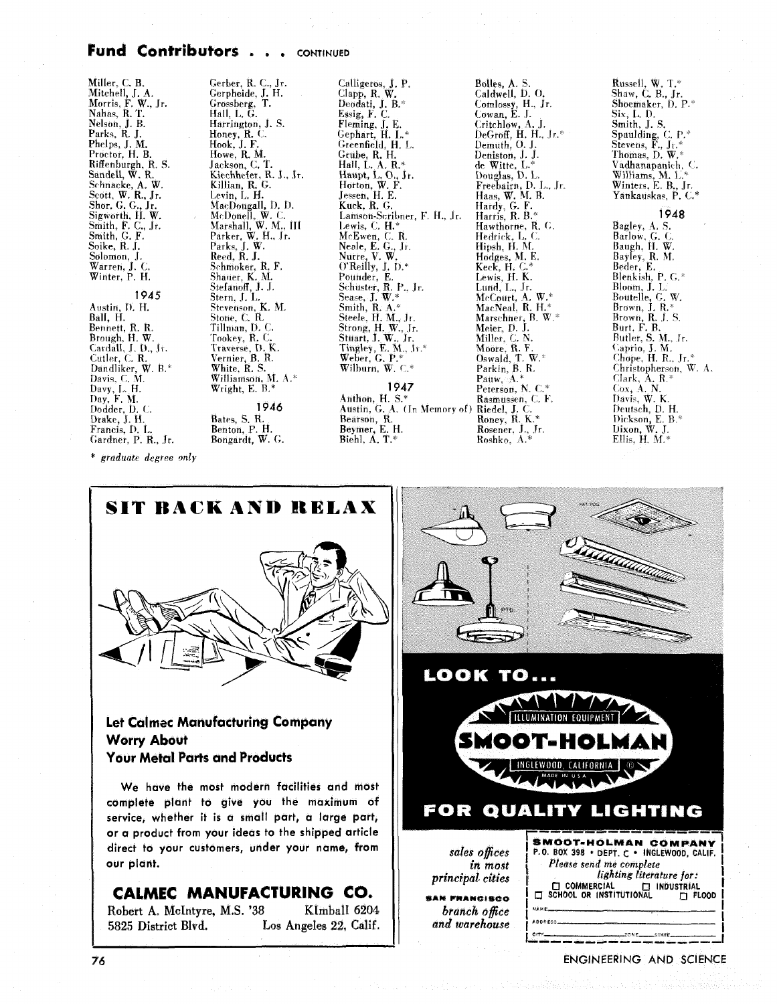# Fund Contributors . . . CONTINUED

Miller, C. B.<br>Mitchell, J. A.<br>Morris, F. W., Jr.<br>Nahas, R. T. Nelson, J. B.<br>Parks, R. J. Phelps, J. M. Proctor, H. B. Fiffenburgh, R. S.<br>Sandell, W. R.<br>Schnacke, A. W.<br>Scott, W. R., Jr.<br>Shor, G. G., Jr. Snor, G. G., Jr.<br>Sigworth, H. W.<br>Smith, F. C., Jr.<br>Smith, G. F.<br>Soike, R. J. Solomon, J.<br>Warren, J. C. Winter, P. H. 1945 Austin, D. H. Ball, H. Bennett, R. R. Brough, H. W. Cardall, J. D., Jr. Cutler, C. R.<br>Dandliker, W. B.\*<br>Davis, C. M. Davis, C. H.<br>Davy, L. H.<br>Day, F. M. Dodder, D. C. Drake, J. H. Francis, D. L. Gardner, P. R., Jr.

Gerber, R. C., Jr.<br>Gerpheide, J. H. Grossberg, T.<br>Hall, L. G. Harrington, J. S. Honey, R. C.<br>Hook, J. F.<br>Howe, R. M. Jackson, C. T.<br>Kiechhefer, R. J., Jr. Killian, R. G.<br>Killian, R. G.<br>Levin, L. H.<br>MacDougall, D. D. wacDougall, D. D.<br>McDonell, W. C.<br>Marshall, W. M., III<br>Parker, W. H., Jr.<br>Parke, J. W.<br>Reed, R. J. Schmoker, R. F. Shauer, K. M.<br>Stefanoff, J. J. Stern, J. L.<br>Stern, J. L.<br>Stevenson, K. M. Stone, C. R.<br>Tillman, D. C. Tookey, R. C. Traverse, D. K. Vernier, B. R. White, R. S. Williamson, M. A.\* Wright, E. B.' 1946 Bates, S. R. Bates, S. R.<br>Benton, P. H.<br>Bongardt, W. G.

Calligeros, J. P.<br>Clapp, R. W.<br>Deodati, J. B.\* Essig,  $\overline{F}$ ,  $\overline{C}$ . Fleming, J. E. Gephart, H. L.\*<br>Gephart, H. L.\*<br>Greenfield, H. L. Grube, R. H.<br>Hall, L. A. R.\* Haupt, L. O., Jr.<br>Haupt, L. O., Jr.<br>Horton, W. F. Jessen, H. E.<br>Kuck, R. G. Lamson-Scribner, F. H., Jr. Lewis, C. H. McEwen, C. R.<br>Neale, E. G., Jr.<br>Nutre, V. W.<br>O'Reilly, J. D.\* Pounder, E. Founder, E.<br>Schuster, R. P., Jr.<br>Sease, J. W.\*<br>Stiele, H. M., Jr. Strong, H. W., Jr.<br>Stuart, J. W., Jr.<br>Tingley, E. M., Jr.\* Weber, G. P.\*  $1947$ 

Anthon, H. S.\* Austin, G. A. (In Memory of)<br>Bearson, R. Beymer, E. H.<br>Biehl, A. T.\*

Bolles, A. S.<br>Caldwell, D. O. Comlossy, H., Jr.<br>Cowan, E. J. Critchlow, A. J.<br>DeGroff, H. H., Jr.\*<br>Demuth, O. J. Deniston. J. J. de Witte, L. de Witte, L."<br>Douglas, D. L.<br>Freebairin, D. L., Jr.<br>Haas, W. M. B.<br>Harris, R. B.<br>Harris, R. B. Hawthorne, R. G. Hedrick, L. C.<br>Hipsh, H. M.  $Hodges, M. E.  
Keck, H. C.*  
Let$ Lewis, H. K.<br>Lund, L., Jr. McCourt, A. W.\* MacNeal, R. H.<sup>,</sup> Marschner, B. W.\* Meier, D. J. Miller, C. N Moore, R.F. Oswald, T. W.\* Parkin, B. R. Pauw. A.\* Peterson, N. C.<sup>4</sup> Rasmussen, C. F. Riedel, J. C.<br>Roney, R. K.\* Rosener, J., Jr.<br>Roshko, A.\*

Russell, W. T.\*<br>Shaw, C. B., Jr. Shoemaker, D. P.\* Six, L. D. Smith, J. S. Spaulding, C. P.\*<br>Stevens, F., Jr.\* Thomas, D. W.\* Vadhanapanich, C. Williams, M. L.\*<br>Williams, M. L.\*<br>Winters, E. B., Jr. Yankauskas, P. C.\*

1948 Bagley, A. S. Barlow, G. C.<br>Baugh, H. W. Bayley, R. M.<br>Beder, E.<br>Blenkish, P. G.\* Bloom, J. L.<br>Boutelle, G. W.<br>Brown, J. R.\* Brown, J. R.<br>Brown, R. J. S.<br>Burt, F. B.<br>Butler, S. M., Jr.<br>Caprio, J. M.<br>Chope, H. R., Jr. Christopherson, W. A. Clark,  $A$ .  $R$ .\*  $\begin{array}{c}\n\text{Gauss, A. N.} \\
\text{Cox, A. N.} \\
\text{Davis, W. K.}\n\end{array}$ Deutsch, D. H. Dickson, E. B. $*$ Dixon, W. J.<br>Dixon, W. J.<br>Ellis, H. M.\*

\* graduate degree only



## **Let Calmec Manufacturing Company Worry About Your Metal Parts and Products**

We have the most modern facilities and most complete plant to give you the maximum of service, whether it is a small part, a large part, or a product from your ideas to the shipped article direct to your customers, under your name, from our plant.

# CALMEC MANUFACTURING CO.

KImball 6204 Robert A. McIntyre, M.S. '38 Los Angeles 22. Calif. 5825 District Blvd.



ENGINEERING AND SCIENCE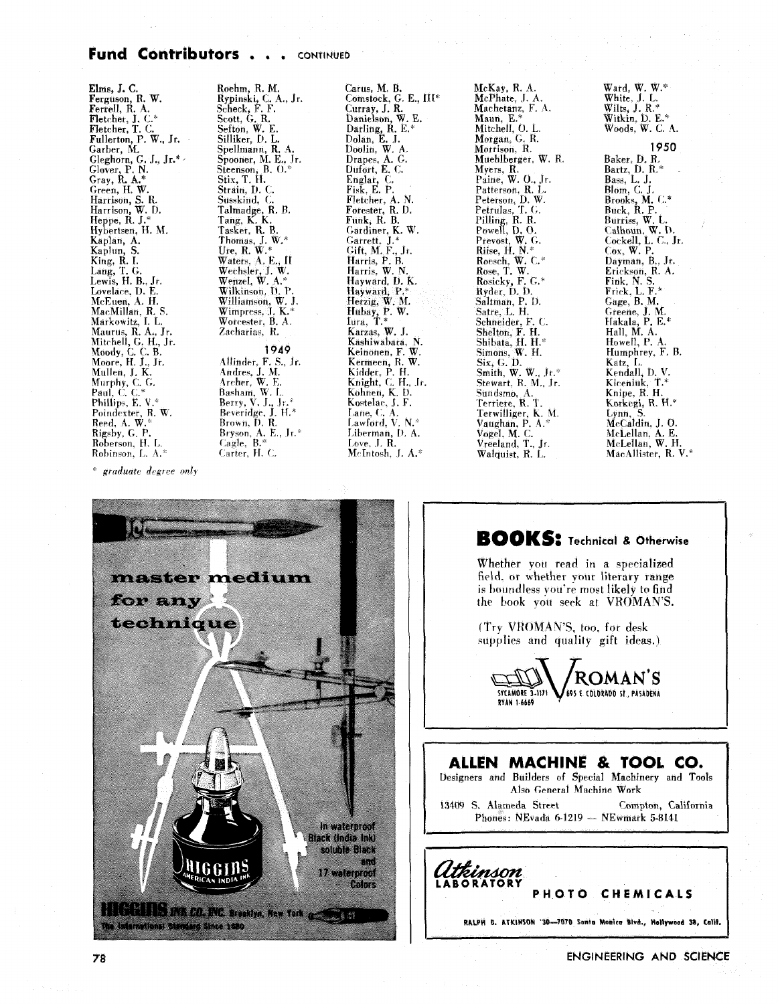## Fund Contributors . . . CONTINUED

Elms, J. C.<br>Ferguson, R. W.<br>Ferrell, R. A.<br>Fletcher, J. C.\* Fletcher, J. C.<br>Fletcher, T. C.<br>Jallerton, P. W., Jr.<br>Garber, M.<br>Gleghorn, G. J., Jr.\*<br>Glover, P. N.<br>Gray, R. A.\* Green, H. W. Harrison, S. R.<br>Harrison, W. D.<br>Heppe, R. J.\* Hybertsen, H. M. Kaplan, A. Kaplun, S. King, R.I. Lang, T. G. Lewis, H. B., Jr. Lovelace, D. E. McEuen, A. H.<br>MacMillan, R. S. Markowitz, I. L. Maurus, R. A., Jr.<br>Mitchell, G. H., Jr. Moody, C. C. B.<br>Moore, H. J., Jr. Mullen, J. K. Murphy, C. G.<br>Paul, C. C.\* Phillips, E.V. Poindexter, R. W. Folndexter, A.<br>Reed, A. W.\*<br>Rigsby, G. P.<br>Roberson, H. L. Robinson, L. A.

Roehm, R. M.<br>Rypinski, C. A., Jr.<br>Scheck, F. F.<br>Scott, G. R.<br>Selliker, D. L.<br>Silliker, D. L. Spellmann, R. A.<br>Spooner, M. E., Jr. Steenson, B. O. Strain, D. C. Susskind, C. Cussianu, C.<br>Talmadge, R. B.<br>Tang, K. K.<br>Thomas, J. W.\* Ure, R. W. \* Waters, A. E., II Wechsler, J. W.<br>Wenzel, W. A.\* Wilkinson, D. P. Williamson, W. J.<br>Williamson, W. J. Worcester, B. A. Zacharias, R. 1949 Allinder, F. S., Jr.<br>Andres, J. M.<br>Archer, W. E. Basham, W. L.<br>Berry, V. J., Jr.\*<br>Beveridge, J. H.\* Brown, D. R. Bryson, A. E., Jr.<sup>\*</sup><br>Cagle, B.<sup>\*</sup> Carter, H. C.

Carus, M. B.<br>Comstock, G. E., III\*<br>Curray, J. R.<br>Danielson, W. E.<br>Darling, R. E.\*<br>Dolan, E. J.<br>Dropes, A. G.<br>Drapes, A. G.<br>Quiort, E. C.<br>Dufort, E. C. Englar, C.<br>Fisk, E. P. Fletcher, A. N.<br>Forester, R. D.<br>Funk, R. B. Gardiner, K. W. Gardiner, K. M.<br>Garrett, J.\*<br>Gift, M. F., Jr.<br>Harris, W. N. Hayward, D. K. Hayward, P. Hayward, F.<br>Herzig, W. M.<br>Hubay, P. W.<br>Lura, T.\*<br>Karzas, W. J. Kashiwabara. N. Keinonen, F. W. Keinonen, F. W.<br>Kermeen, R. W.<br>Kiddet, P. H.<br>Knight, C. H., Jr.<br>Kohnen, K. D. Kostelac, J. F. Lane, C. A.<br>Lane, C. A.<br>Lawford, V. N.\* Liberman, D. A. Love,  $J$ ,  $R$ . McIntosh, J. A.\*

McKay, R. A.<br>McPhate, J. A. Machetanz, F. A. Maun, E.\*<br>Mitchell, O. L. Morgan, G. R. Morrison, R.<br>Morrison, R.<br>Muehlberger, W. R. Myers, R.<br>Paine, W. O., Jr. rame, w. O., J.<br>Paterson, D. W.<br>Peterson, D. W.<br>Petrulas, T. G.<br>Pilling, R. R.<br>Powell, D. O.<br>Prevost, W. G.<br>Rise, H. N. " Roesch, W. C.\*<br>Rose, T. W. Rosicky, F. G.\*<br>Ryder, D. D. Saltman, P. D. Saturan, 1: D.<br>Satre, L. H.<br>Schneider, F. C.<br>Shelton, F. H. Shibata, H. H.\*<br>Simons, W. H.<br>Six, G. D.<br>Smith, W. W., Jr.\*<br>Stewart, R. M., Jr. Sundsmo, A.<br>Terriete, R. T. Terriere, K. I.<br>Terwilliger, K. M.<br>Vaughan, P. A.\*<br>Vogel, M. C. Vreeland, T., Jr. Walquist, R. L.

Ward, W. W.\* White, J. L. Wilts, J. R.\*<br>Witkin, D. E.\*<br>Woods, W. C. A.

#### 1950

Baker, D. R. Bartz, D. R. Blom, C. J.<br>Brooks, M. C.\*<br>Buck, R. P. Burriss, W. L. Calhoun, W. D.<br>Calhoun, W. D.<br>Cockell, L. C., Jr.  $Cox, W. P.$ Dayman, B., Jr. Erickson, R. A. Fink, N. S.<br>Frick, L. F.\* Gage, B. M. Greene, J. M.<br>Hakala, P. E.\*<br>Hall, M. A. Howell, P. A Humphrey, F. B. Katz, L.<br>Katz, L.<br>Kendall, D. V. Kiceniuk, T.\*<br>Kiceniuk, T.\*<br>Knipe, R. H. Korkegi, R. H.\* Eynn, S.<br>McCaldin, J. O.<br>McLellan, A. E.<br>McLellan, W. H.<br>MacAllister, R. V.\*





## **BOOKS:** Technical & Otherwise

Whether you read in a specialized field, or whether your literary range is boundless you're most likely to find the book vott seek at VROMAN'S.

(Try VROMAN'S, too, for desk supplies and quality gift ideas.)



# ALLEN MACHINE & TOOL CO. Designers and Builders of Special Machinery and Tools Also General Machine Work Compton, California 13409 S. Alameda Street Phones: NEvada 6-1219 - NEwmark 5-8141 Itkinson

**IBORATORY** 

RALPH B. ATKINSON '30-7070 Sunta Monice Blvd., Hollywood 38, Calif.

PHOTO CHEMICALS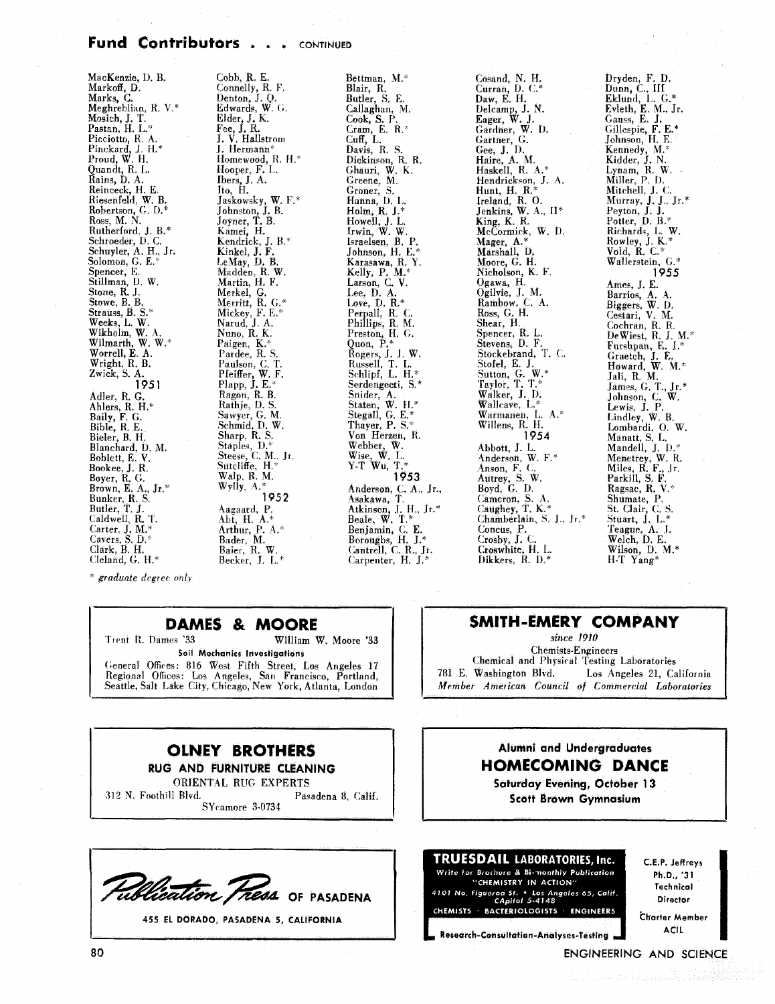# Fund Contributors . . . CONTINUED

| MacKenzie, D. B.     | Cobb, R. E.        | Bettman, M.*          | Cosand, N. H.            | Dryden, F. D.       |
|----------------------|--------------------|-----------------------|--------------------------|---------------------|
| Markoff, D.          | Connelly, R. F.    | Blair, R.             | Curran, D. C.*           | Dunn, C., III       |
| Marks, C.            | Denton, J. Q.      | Butler, S. E.         | Daw, E. H.               | Eklund, L. $G.*$    |
| Meghreblian, R. V.*  | Edwards, W. G.     | Callaghan, M.         | Delcamp, J. N.           | Evleth, E. M., Jr.  |
| Mosich, J. T.        | Elder, J. K.       | Cook, S. P.           | Eager, W. J.             | Gauss, E. J.        |
| Pastan, H. L.*       | Fee, J. R.         | Cram, E. R. $*$       | Gardner, W. D.           | Gillespie, F. E.*   |
| Picciotto, R. A.     | J. V. Hallstrom    | $Cuff$ , L.           | Gartner, G.              | Johnson, H. E.      |
| Pinckard, J. H.*     | J. Hermann*        | Davis, R. S.          | Gee, J. D.               | Kennedy, M.*        |
| Proud, W. H.         | Homewood, R. H.*   | Dickinson, R. R.      | Haire, A. M.             | Kidder, J. N.       |
| Quandt, R. L.        | Hooper, F. L.      | Ghauri, W. K.         | Haskell, R. A.*          | Lynam, $R$ , $W$ .  |
| Rains, D. A.         | Ibers, J. A.       | Greene, M.            | Hendrickson, J. A.       | Miller, P. D.       |
| Reinceck, H. E.      | Ito, H.            | Groner, S.            | Hunt, H. R. $*$          | Mitchell, J. C.     |
| Riesenfeld, W. B.    | Jaskowsky, W. F.*  | Hanna, D. L.          | Ireland, R. O.           | Murray, J. J., Jr.* |
| Robertson, G. D.*    | Johnston, J. B.    | Holm, R. J. $*$       | Jenkins, W. A., II*      | Peyton, J. J.       |
| Ross, M. N.          | Joyner, T. B.      | Howell, J. L.         | King, K. R.              | Potter, $D. B.*$    |
| Rutherford, J. B.*   | Kamei, H.          | frwin, W. W.          | McCormick, W. D.         | Richards, L. W.     |
| Schroeder, D.C.      | Kendrick, J. B.*   | Israelsen, B. P.      | Mager, A.*               | Rowley, J. K.*      |
| Schuyler, A. H., Jr. | Kinkel, J. F.      | Johnson, H. E.*       | Marshall, D.             | Vold. R. $C^*$      |
| Solomon, G. E.*      | LeMay, D. B.       | Karasawa, R.Y.        | Moore, G. H.             | Wallerstein, G.*    |
| Spencer, E.          | Madden, R. W.      | Kelly, P. M.*         | Nicholson, K. F.         | 1955                |
| Stillman, D. W.      | Martin, H. F.      | Larson, C. V.         | Ogawa, H.                | Ames, J. E.         |
| Stone, R. J.         | Merkel, G.         | Lee, $D. A.$          | Ogilvie, J. M.           | Barrios, A. A.      |
| Stowe, B. B.         | Merritt, R. G.*    | Love, $D. R^*$        | Rambow, C. A.            | Biggers, W. D.      |
| Strauss, B. S.*      | Mickey, F. E.*     | Perpall, R. C.        | Ross, G. H.              | Cestari, V. M.      |
| Weeks, L. W.         | Narud, J. A.       | Phillips, R. M.       | Shear, H.                | Cochran, R. R.      |
| Wikholm, W. A.       | Nuno, R. K.        | Preston, H. G.        | Spencer, R. L.           | DeWiest, R. J. M.*  |
| Wilmarth, W. W.*     | Paigen, K.*        | Quon, $P^*$           | Stevens, D. F.           | Furshpan, E. J.*    |
| Worrell, E. A.       | Pardee, R. S.      | Rogers, J. J. W.      | Stockebrand, T. C.       | Graetch, J. E.      |
| Wright, R. B.        | Paulson, C. T.     | Russell, T. L.        | Stofel, E. J.            | Howard, W. M.*      |
| Zwick, S. A.         | Pfeiffer, W. F.    | Schlipf, L. H.*       | Sutton, G. W.*           | Jali, R. M.         |
| 1951                 | Plapp, $J. E.*$    | Serdengecti, S.*      | Taylor, T. T.*           | James, G. T., Jr.*  |
| Adler, R. G.         | Ragon, R. B.       | Snider, A.            | Walker, J. D.            | Johnson, C. W.      |
| Ahlers, R. H.*       | Rathje, D. S.      | Staten, W. H.*        | Wallcave, L.*            | Lewis, J. P.        |
| Baily, F. G.         | Sawyer, G. M.      | Stegall, G. E.*       | Warmanen, L. A.*         | Lindley, W. B.      |
| Bible, R. E.         | Schmid, D. W.      | Thayer, P. S.*        | Willens, R. H.           | Lombardi, O. W.     |
| Bieler, B. H.        | Sharp, R. S.       | Von Herzen, R.        | 1954                     | Manatt, S. L.       |
| Blanchard, D. M.     | Staples, D.*       | Webber, W.            | Abbott, J. L.            | Mandell, J. D.*     |
| Boblett, E.V.        | Steese, C. M., Jr. | Wise, $W$ . L.        | Anderson, W. F.*         | Menetrey, W. R.     |
| Bookee, J. R.        | Sutcliffe, $H.*$   | $Y-T$ Wu, $T.*$       | Anson, F. C.             | Miles, R. F., Jr.   |
| Boyer, R. G.         | Walp, R. M.        | 1953                  | Autrey, S. W.            | Parkill, S. F.      |
| Brown, E. A., Jr.*   | Wylly, $A.*$       | Anderson, C. A., Jr., | Boyd, G. D.              | Ragsac, R. V.*      |
| Bunker, R. S.        | 1952               | Asakawa, T.           | Cameron, S. A.           | Shumate, P.         |
| Butler, T. J.        | Aagaard, P.        | Atkinson, J. H., Jr.* | Caughey, T. K.*          | St. Clair, C. S.    |
| Caldwell, R. T.      | Abt, H. A.*        | Beale, W. T.*         | Chamberlain, S. J., Jr.* | Stuart, J. L.*      |
| Carter, $J. M.*$     | Arthur, P. A.*     | Benjamin, C. E.       | Concus, P.               | Teague, A. J.       |
| Cavers, S. D. $*$    | Bader, M.          | Boroughs, H. J.*      | Crosby, J. C.            | Welch, D. E.        |
| Clark, B. H.         | Baier, R. W.       | Cantrell, C. R., Jr.  | Croswhite, H. L.         | Wilson, D. M.*      |
| Cleland, G. $H.*$    | Becker. J. L.*     | Carpenter, H. J.*     | Dikkers, R. D.*          | H.T Yang*           |

\* graduate degree only

## **DAMES & MOORE**

Trent R. Dames '33 William W. Moore '33 Soil Mechanics Investigations General Offices: 816 West Fifth Street, Los Angeles 17<br>Regional Offices: Los Angeles, San Francisco, Portland,<br>Seattle, Salt Lake City, Chicago, New York, Atlanta, London

### **OLNEY BROTHERS** RUG AND FURNITURE CLEANING

ORIENTAL RUG EXPERTS

312 N. Foothill Blvd. Pasadena 8, Calif. SYcamore 3-0734



455 EL DORADO, PASADENA 5, CALIFORNIA

# SMITH-EMERY COMPANY

since 1910 **Chemists-Engineers** Chemical and Physical Testing Laboratories 781 E. Washington Blvd. Los Angeles 21, California Member American Council of Commercial Laboratories

# Alumni and Undergraduates **HOMECOMING DANCE**

**Saturday Evening, October 13 Scott Brown Gymnasium** 

#### TRUESDAIL LABORATORIES, Inc. Write for Brochure & Bi-monthly Publication "CHEMISTRY IN ACTION"

4101 No. Figueroa St. • Los Angeles 65, Calif.<br>CApitol 5-4148 CHEMISTS BACTERIOLOGISTS ENGINEERS C.E.P. Jeffreys Ph.D., '31 Technical Director

Charter Member **ACIL** 

#### ENGINEERING AND SCIENCE